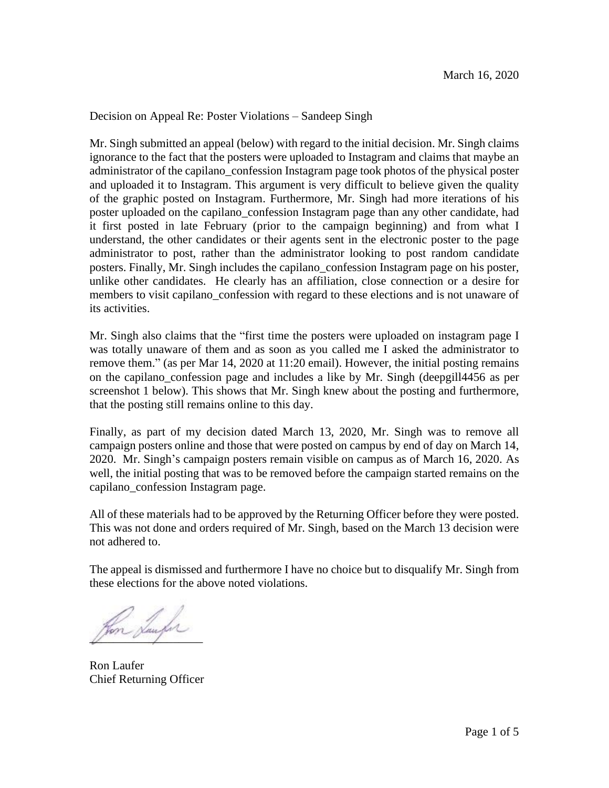Decision on Appeal Re: Poster Violations – Sandeep Singh

Mr. Singh submitted an appeal (below) with regard to the initial decision. Mr. Singh claims ignorance to the fact that the posters were uploaded to Instagram and claims that maybe an administrator of the capilano\_confession Instagram page took photos of the physical poster and uploaded it to Instagram. This argument is very difficult to believe given the quality of the graphic posted on Instagram. Furthermore, Mr. Singh had more iterations of his poster uploaded on the capilano\_confession Instagram page than any other candidate, had it first posted in late February (prior to the campaign beginning) and from what I understand, the other candidates or their agents sent in the electronic poster to the page administrator to post, rather than the administrator looking to post random candidate posters. Finally, Mr. Singh includes the capilano\_confession Instagram page on his poster, unlike other candidates. He clearly has an affiliation, close connection or a desire for members to visit capilano\_confession with regard to these elections and is not unaware of its activities.

Mr. Singh also claims that the "first time the posters were uploaded on instagram page I was totally unaware of them and as soon as you called me I asked the administrator to remove them." (as per Mar 14, 2020 at 11:20 email). However, the initial posting remains on the capilano\_confession page and includes a like by Mr. Singh (deepgill4456 as per screenshot 1 below). This shows that Mr. Singh knew about the posting and furthermore, that the posting still remains online to this day.

Finally, as part of my decision dated March 13, 2020, Mr. Singh was to remove all campaign posters online and those that were posted on campus by end of day on March 14, 2020. Mr. Singh's campaign posters remain visible on campus as of March 16, 2020. As well, the initial posting that was to be removed before the campaign started remains on the capilano\_confession Instagram page.

All of these materials had to be approved by the Returning Officer before they were posted. This was not done and orders required of Mr. Singh, based on the March 13 decision were not adhered to.

The appeal is dismissed and furthermore I have no choice but to disqualify Mr. Singh from these elections for the above noted violations.

fon Saufer

Ron Laufer Chief Returning Officer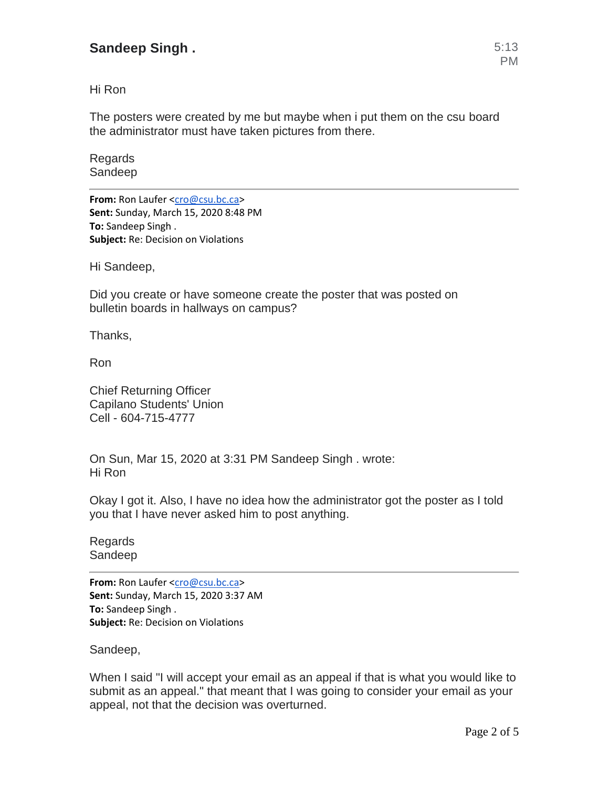## **Sandeep Singh .** 5:13

Hi Ron

The posters were created by me but maybe when i put them on the csu board the administrator must have taken pictures from there.

Regards Sandeep

**From:** Ron Laufer [<cro@csu.bc.ca>](mailto:cro@csu.bc.ca) **Sent:** Sunday, March 15, 2020 8:48 PM **To:** Sandeep Singh . **Subject:** Re: Decision on Violations

Hi Sandeep,

Did you create or have someone create the poster that was posted on bulletin boards in hallways on campus?

Thanks,

Ron

Chief Returning Officer Capilano Students' Union Cell - 604-715-4777

On Sun, Mar 15, 2020 at 3:31 PM Sandeep Singh . wrote: Hi Ron

Okay I got it. Also, I have no idea how the administrator got the poster as I told you that I have never asked him to post anything.

Regards Sandeep

**From:** Ron Laufer [<cro@csu.bc.ca>](mailto:cro@csu.bc.ca) **Sent:** Sunday, March 15, 2020 3:37 AM **To:** Sandeep Singh . **Subject:** Re: Decision on Violations

Sandeep,

When I said "I will accept your email as an appeal if that is what you would like to submit as an appeal." that meant that I was going to consider your email as your appeal, not that the decision was overturned.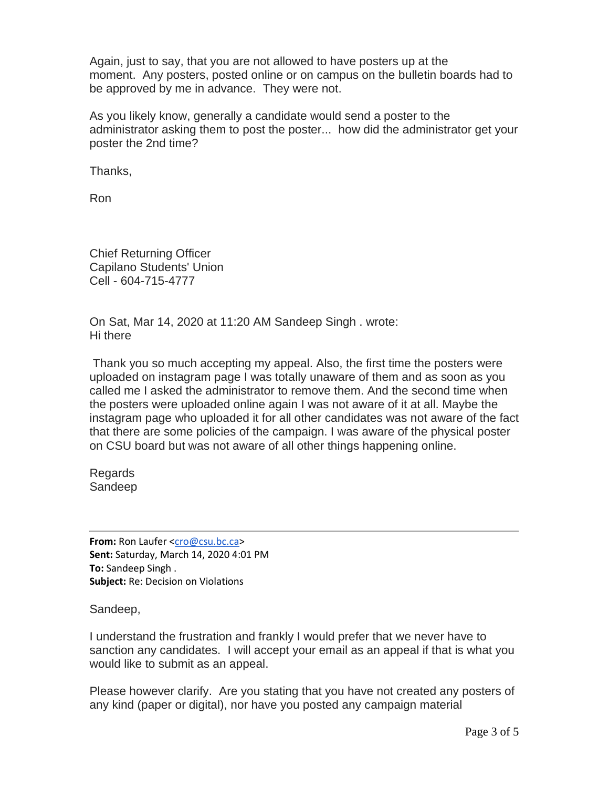Again, just to say, that you are not allowed to have posters up at the moment. Any posters, posted online or on campus on the bulletin boards had to be approved by me in advance. They were not.

As you likely know, generally a candidate would send a poster to the administrator asking them to post the poster... how did the administrator get your poster the 2nd time?

Thanks,

Ron

Chief Returning Officer Capilano Students' Union Cell - 604-715-4777

On Sat, Mar 14, 2020 at 11:20 AM Sandeep Singh . wrote: Hi there

Thank you so much accepting my appeal. Also, the first time the posters were uploaded on instagram page I was totally unaware of them and as soon as you called me I asked the administrator to remove them. And the second time when the posters were uploaded online again I was not aware of it at all. Maybe the instagram page who uploaded it for all other candidates was not aware of the fact that there are some policies of the campaign. I was aware of the physical poster on CSU board but was not aware of all other things happening online.

Regards Sandeep

**From:** Ron Laufer [<cro@csu.bc.ca>](mailto:cro@csu.bc.ca) **Sent:** Saturday, March 14, 2020 4:01 PM **To:** Sandeep Singh . **Subject:** Re: Decision on Violations

Sandeep,

I understand the frustration and frankly I would prefer that we never have to sanction any candidates. I will accept your email as an appeal if that is what you would like to submit as an appeal.

Please however clarify. Are you stating that you have not created any posters of any kind (paper or digital), nor have you posted any campaign material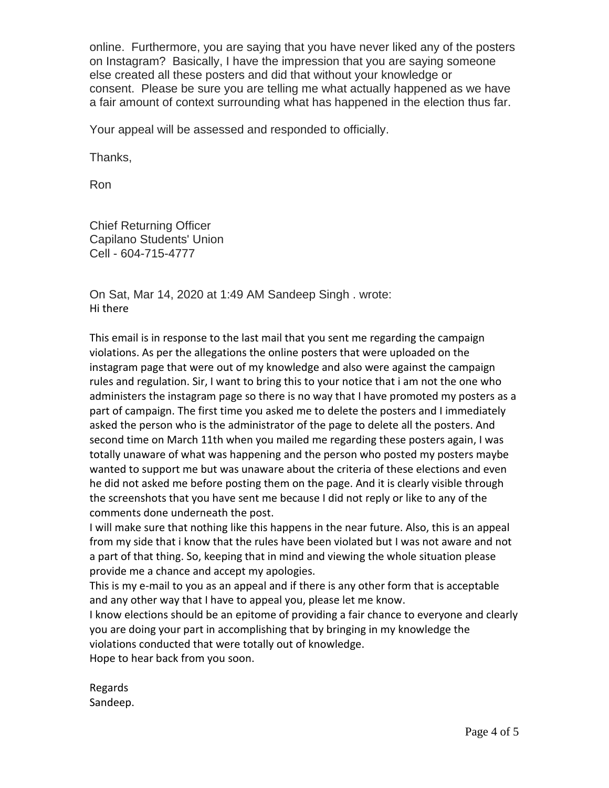online. Furthermore, you are saying that you have never liked any of the posters on Instagram? Basically, I have the impression that you are saying someone else created all these posters and did that without your knowledge or consent. Please be sure you are telling me what actually happened as we have a fair amount of context surrounding what has happened in the election thus far.

Your appeal will be assessed and responded to officially.

Thanks,

Ron

Chief Returning Officer Capilano Students' Union Cell - 604-715-4777

On Sat, Mar 14, 2020 at 1:49 AM Sandeep Singh . wrote: Hi there

This email is in response to the last mail that you sent me regarding the campaign violations. As per the allegations the online posters that were uploaded on the instagram page that were out of my knowledge and also were against the campaign rules and regulation. Sir, I want to bring this to your notice that i am not the one who administers the instagram page so there is no way that I have promoted my posters as a part of campaign. The first time you asked me to delete the posters and I immediately asked the person who is the administrator of the page to delete all the posters. And second time on March 11th when you mailed me regarding these posters again, I was totally unaware of what was happening and the person who posted my posters maybe wanted to support me but was unaware about the criteria of these elections and even he did not asked me before posting them on the page. And it is clearly visible through the screenshots that you have sent me because I did not reply or like to any of the comments done underneath the post.

I will make sure that nothing like this happens in the near future. Also, this is an appeal from my side that i know that the rules have been violated but I was not aware and not a part of that thing. So, keeping that in mind and viewing the whole situation please provide me a chance and accept my apologies.

This is my e-mail to you as an appeal and if there is any other form that is acceptable and any other way that I have to appeal you, please let me know.

I know elections should be an epitome of providing a fair chance to everyone and clearly you are doing your part in accomplishing that by bringing in my knowledge the violations conducted that were totally out of knowledge.

Hope to hear back from you soon.

Regards Sandeep.